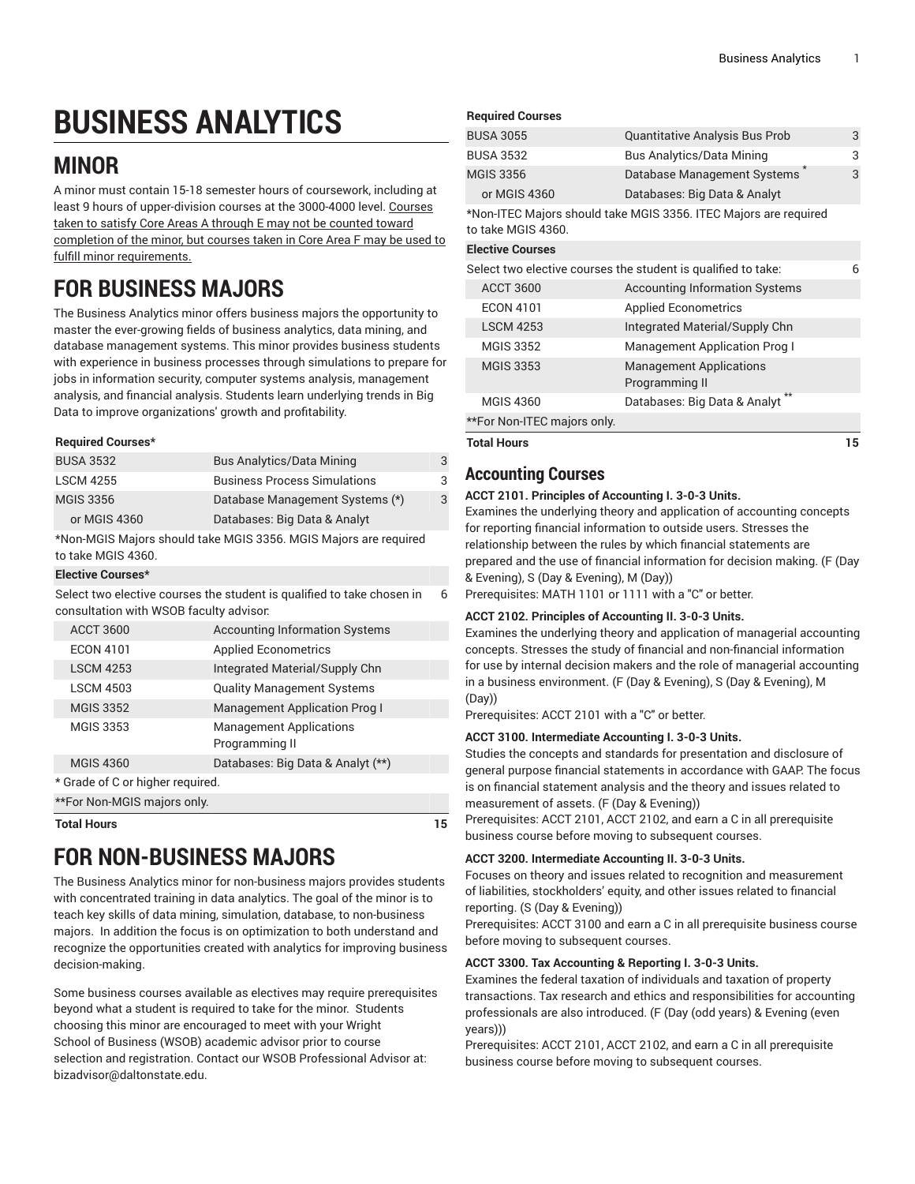# **BUSINESS ANALYTICS**

# **MINOR**

A minor must contain 15-18 semester hours of coursework, including at least 9 hours of upper-division courses at the 3000-4000 level. Courses taken to satisfy Core Areas A through E may not be counted toward completion of the minor, but courses taken in Core Area F may be used to fulfill minor requirements.

# **FOR BUSINESS MAJORS**

The Business Analytics minor offers business majors the opportunity to master the ever-growing fields of business analytics, data mining, and database management systems. This minor provides business students with experience in business processes through simulations to prepare for jobs in information security, computer systems analysis, management analysis, and financial analysis. Students learn underlying trends in Big Data to improve organizations' growth and profitability.

#### **Required Courses\***

| <b>Bus Analytics/Data Mining</b>    | 3 |
|-------------------------------------|---|
| <b>Business Process Simulations</b> | 3 |
| Database Management Systems (*)     | 3 |
| Databases: Big Data & Analyt        |   |
|                                     |   |

\*Non-MGIS Majors should take MGIS 3356. MGIS Majors are required to take MGIS 4360.

#### **Elective Courses\***

Select two elective courses the student is qualified to take chosen in consultation with WSOB faculty advisor: 6

| <b>ACCT 3600</b>                 |  | <b>Accounting Information Systems</b>            |  |  |
|----------------------------------|--|--------------------------------------------------|--|--|
| <b>ECON 4101</b>                 |  | <b>Applied Econometrics</b>                      |  |  |
| <b>LSCM 4253</b>                 |  | Integrated Material/Supply Chn                   |  |  |
| <b>LSCM 4503</b>                 |  | <b>Quality Management Systems</b>                |  |  |
| <b>MGIS 3352</b>                 |  | Management Application Prog I                    |  |  |
| <b>MGIS 3353</b>                 |  | <b>Management Applications</b><br>Programming II |  |  |
| <b>MGIS 4360</b>                 |  | Databases: Big Data & Analyt (**)                |  |  |
| * Grade of C or higher required. |  |                                                  |  |  |
| **For Non-MGIS majors only.      |  |                                                  |  |  |
|                                  |  |                                                  |  |  |

**Total Hours 15**

# **FOR NON-BUSINESS MAJORS**

The Business Analytics minor for non-business majors provides students with concentrated training in data analytics. The goal of the minor is to teach key skills of data mining, simulation, database, to non-business majors. In addition the focus is on optimization to both understand and recognize the opportunities created with analytics for improving business decision-making.

Some business courses available as electives may require prerequisites beyond what a student is required to take for the minor. Students choosing this minor are encouraged to meet with your Wright School of Business (WSOB) academic advisor prior to course selection and registration. Contact our WSOB Professional Advisor at: bizadvisor@daltonstate.edu.

| <b>Required Courses</b> |  |
|-------------------------|--|
|-------------------------|--|

|                         | Programming II                                                   |   |
|-------------------------|------------------------------------------------------------------|---|
| <b>MGIS 3353</b>        | <b>Management Applications</b>                                   |   |
| <b>MGIS 3352</b>        | <b>Management Application Prog I</b>                             |   |
| <b>LSCM 4253</b>        | Integrated Material/Supply Chn                                   |   |
| <b>ECON 4101</b>        | <b>Applied Econometrics</b>                                      |   |
| <b>ACCT 3600</b>        | <b>Accounting Information Systems</b>                            |   |
|                         | Select two elective courses the student is qualified to take:    | 6 |
| <b>Elective Courses</b> |                                                                  |   |
| to take MGIS 4360.      | *Non-ITEC Majors should take MGIS 3356. ITEC Majors are required |   |
| or MGIS 4360            | Databases: Big Data & Analyt                                     |   |
| <b>MGIS 3356</b>        | Database Management Systems                                      | 3 |
| <b>BUSA 3532</b>        | <b>Bus Analytics/Data Mining</b>                                 | 3 |
| <b>BUSA 3055</b>        | Quantitative Analysis Bus Prob                                   | 3 |
| ncuuncu oourses         |                                                                  |   |

# **Accounting Courses**

#### **ACCT 2101. Principles of Accounting I. 3-0-3 Units.**

Examines the underlying theory and application of accounting concepts for reporting financial information to outside users. Stresses the relationship between the rules by which financial statements are prepared and the use of financial information for decision making. (F (Day & Evening), S (Day & Evening), M (Day))

Prerequisites: [MATH](/search/?P=MATH%201101) 1101 or 1111 with a "C" or better.

#### **ACCT 2102. Principles of Accounting II. 3-0-3 Units.**

Examines the underlying theory and application of managerial accounting concepts. Stresses the study of financial and non-financial information for use by internal decision makers and the role of managerial accounting in a business environment. (F (Day & Evening), S (Day & Evening), M (Day))

Prerequisites: [ACCT](/search/?P=ACCT%202101) 2101 with a "C" or better.

#### **ACCT 3100. Intermediate Accounting I. 3-0-3 Units.**

Studies the concepts and standards for presentation and disclosure of general purpose financial statements in accordance with GAAP. The focus is on financial statement analysis and the theory and issues related to measurement of assets. (F (Day & Evening))

Prerequisites: [ACCT](/search/?P=ACCT%202101) 2101, [ACCT](/search/?P=ACCT%202102) 2102, and earn a C in all prerequisite business course before moving to subsequent courses.

#### **ACCT 3200. Intermediate Accounting II. 3-0-3 Units.**

Focuses on theory and issues related to recognition and measurement of liabilities, stockholders' equity, and other issues related to financial reporting. (S (Day & Evening))

Prerequisites: [ACCT](/search/?P=ACCT%203100) 3100 and earn a C in all prerequisite business course before moving to subsequent courses.

#### **ACCT 3300. Tax Accounting & Reporting I. 3-0-3 Units.**

Examines the federal taxation of individuals and taxation of property transactions. Tax research and ethics and responsibilities for accounting professionals are also introduced. (F (Day (odd years) & Evening (even years)))

Prerequisites: [ACCT](/search/?P=ACCT%202101) 2101, [ACCT](/search/?P=ACCT%202102) 2102, and earn a C in all prerequisite business course before moving to subsequent courses.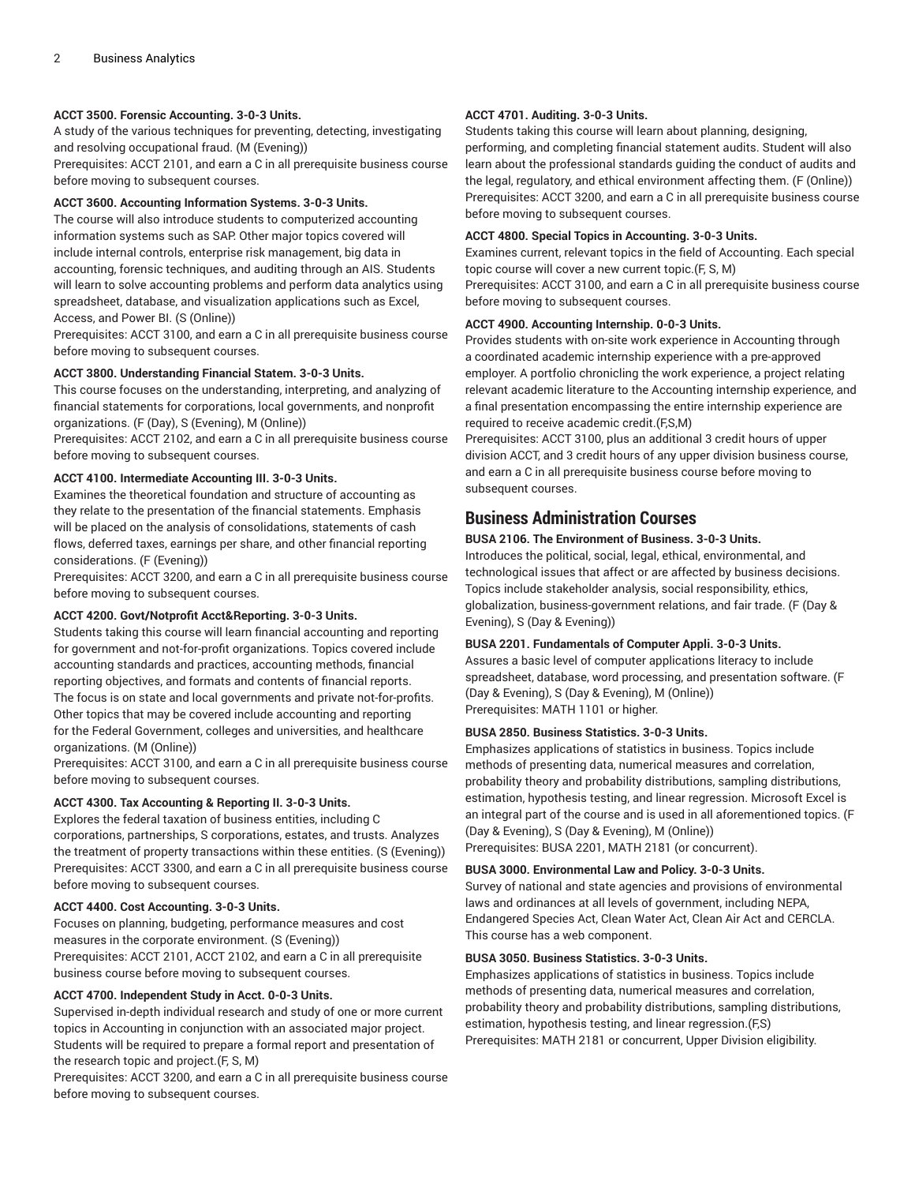#### **ACCT 3500. Forensic Accounting. 3-0-3 Units.**

A study of the various techniques for preventing, detecting, investigating and resolving occupational fraud. (M (Evening)) Prerequisites: [ACCT](/search/?P=ACCT%202101) 2101, and earn a C in all prerequisite business course before moving to subsequent courses.

#### **ACCT 3600. Accounting Information Systems. 3-0-3 Units.**

The course will also introduce students to computerized accounting information systems such as SAP. Other major topics covered will include internal controls, enterprise risk management, big data in accounting, forensic techniques, and auditing through an AIS. Students will learn to solve accounting problems and perform data analytics using spreadsheet, database, and visualization applications such as Excel, Access, and Power BI. (S (Online))

Prerequisites: [ACCT](/search/?P=ACCT%203100) 3100, and earn a C in all prerequisite business course before moving to subsequent courses.

#### **ACCT 3800. Understanding Financial Statem. 3-0-3 Units.**

This course focuses on the understanding, interpreting, and analyzing of financial statements for corporations, local governments, and nonprofit organizations. (F (Day), S (Evening), M (Online))

Prerequisites: [ACCT](/search/?P=ACCT%202102) 2102, and earn a C in all prerequisite business course before moving to subsequent courses.

#### **ACCT 4100. Intermediate Accounting III. 3-0-3 Units.**

Examines the theoretical foundation and structure of accounting as they relate to the presentation of the financial statements. Emphasis will be placed on the analysis of consolidations, statements of cash flows, deferred taxes, earnings per share, and other financial reporting considerations. (F (Evening))

Prerequisites: [ACCT](/search/?P=ACCT%203200) 3200, and earn a C in all prerequisite business course before moving to subsequent courses.

#### **ACCT 4200. Govt/Notprofit Acct&Reporting. 3-0-3 Units.**

Students taking this course will learn financial accounting and reporting for government and not-for-profit organizations. Topics covered include accounting standards and practices, accounting methods, financial reporting objectives, and formats and contents of financial reports. The focus is on state and local governments and private not-for-profits. Other topics that may be covered include accounting and reporting for the Federal Government, colleges and universities, and healthcare organizations. (M (Online))

Prerequisites: [ACCT](/search/?P=ACCT%203100) 3100, and earn a C in all prerequisite business course before moving to subsequent courses.

#### **ACCT 4300. Tax Accounting & Reporting II. 3-0-3 Units.**

Explores the federal taxation of business entities, including C corporations, partnerships, S corporations, estates, and trusts. Analyzes the treatment of property transactions within these entities. (S (Evening)) Prerequisites: [ACCT](/search/?P=ACCT%203300) 3300, and earn a C in all prerequisite business course before moving to subsequent courses.

#### **ACCT 4400. Cost Accounting. 3-0-3 Units.**

Focuses on planning, budgeting, performance measures and cost measures in the corporate environment. (S (Evening)) Prerequisites: [ACCT](/search/?P=ACCT%202101) 2101, [ACCT](/search/?P=ACCT%202102) 2102, and earn a C in all prerequisite business course before moving to subsequent courses.

#### **ACCT 4700. Independent Study in Acct. 0-0-3 Units.**

Supervised in-depth individual research and study of one or more current topics in Accounting in conjunction with an associated major project. Students will be required to prepare a formal report and presentation of the research topic and project.(F, S, M)

Prerequisites: [ACCT](/search/?P=ACCT%203200) 3200, and earn a C in all prerequisite business course before moving to subsequent courses.

#### **ACCT 4701. Auditing. 3-0-3 Units.**

Students taking this course will learn about planning, designing, performing, and completing financial statement audits. Student will also learn about the professional standards guiding the conduct of audits and the legal, regulatory, and ethical environment affecting them. (F (Online)) Prerequisites: [ACCT](/search/?P=ACCT%203200) 3200, and earn a C in all prerequisite business course before moving to subsequent courses.

#### **ACCT 4800. Special Topics in Accounting. 3-0-3 Units.**

Examines current, relevant topics in the field of Accounting. Each special topic course will cover a new current topic.(F, S, M) Prerequisites: [ACCT](/search/?P=ACCT%203100) 3100, and earn a C in all prerequisite business course

#### **ACCT 4900. Accounting Internship. 0-0-3 Units.**

before moving to subsequent courses.

Provides students with on-site work experience in Accounting through a coordinated academic internship experience with a pre-approved employer. A portfolio chronicling the work experience, a project relating relevant academic literature to the Accounting internship experience, and a final presentation encompassing the entire internship experience are required to receive academic credit.(F,S,M)

Prerequisites: [ACCT](/search/?P=ACCT%203100) 3100, plus an additional 3 credit hours of upper division ACCT, and 3 credit hours of any upper division business course, and earn a C in all prerequisite business course before moving to subsequent courses.

### **Business Administration Courses**

#### **BUSA 2106. The Environment of Business. 3-0-3 Units.**

Introduces the political, social, legal, ethical, environmental, and technological issues that affect or are affected by business decisions. Topics include stakeholder analysis, social responsibility, ethics, globalization, business-government relations, and fair trade. (F (Day & Evening), S (Day & Evening))

#### **BUSA 2201. Fundamentals of Computer Appli. 3-0-3 Units.**

Assures a basic level of computer applications literacy to include spreadsheet, database, word processing, and presentation software. (F (Day & Evening), S (Day & Evening), M (Online)) Prerequisites: [MATH](/search/?P=MATH%201101) 1101 or higher.

#### **BUSA 2850. Business Statistics. 3-0-3 Units.**

Emphasizes applications of statistics in business. Topics include methods of presenting data, numerical measures and correlation, probability theory and probability distributions, sampling distributions, estimation, hypothesis testing, and linear regression. Microsoft Excel is an integral part of the course and is used in all aforementioned topics. (F (Day & Evening), S (Day & Evening), M (Online)) Prerequisites: [BUSA 2201](/search/?P=BUSA%202201), [MATH](/search/?P=MATH%202181) 2181 (or concurrent).

**BUSA 3000. Environmental Law and Policy. 3-0-3 Units.**

Survey of national and state agencies and provisions of environmental laws and ordinances at all levels of government, including NEPA, Endangered Species Act, Clean Water Act, Clean Air Act and CERCLA. This course has a web component.

#### **BUSA 3050. Business Statistics. 3-0-3 Units.**

Emphasizes applications of statistics in business. Topics include methods of presenting data, numerical measures and correlation, probability theory and probability distributions, sampling distributions, estimation, hypothesis testing, and linear regression.(F,S) Prerequisites: [MATH](/search/?P=MATH%202181) 2181 or concurrent, Upper Division eligibility.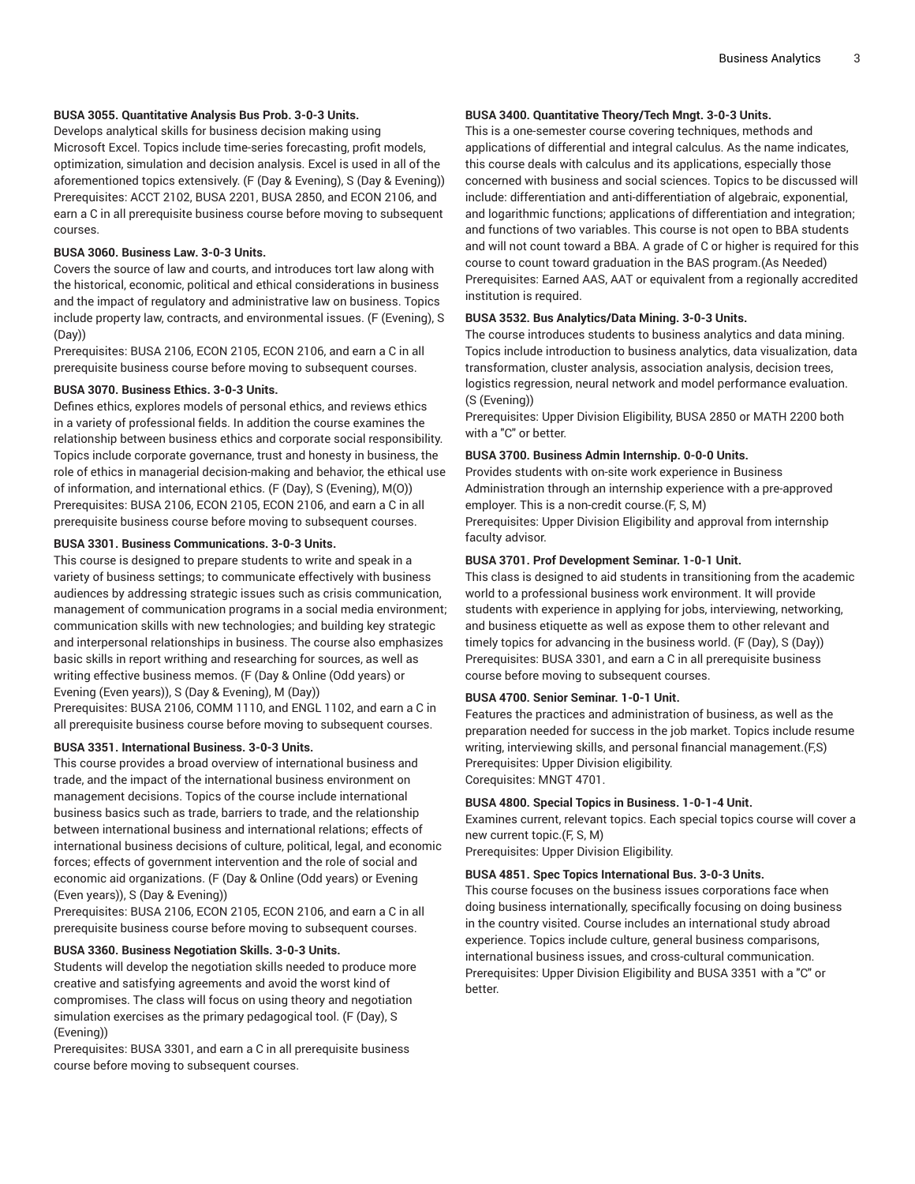#### **BUSA 3055. Quantitative Analysis Bus Prob. 3-0-3 Units.**

Develops analytical skills for business decision making using Microsoft Excel. Topics include time-series forecasting, profit models, optimization, simulation and decision analysis. Excel is used in all of the aforementioned topics extensively. (F (Day & Evening), S (Day & Evening)) Prerequisites: [ACCT](/search/?P=ACCT%202102) 2102, [BUSA 2201](/search/?P=BUSA%202201), [BUSA 2850,](/search/?P=BUSA%202850) and [ECON 2106,](/search/?P=ECON%202106) and earn a C in all prerequisite business course before moving to subsequent courses.

#### **BUSA 3060. Business Law. 3-0-3 Units.**

Covers the source of law and courts, and introduces tort law along with the historical, economic, political and ethical considerations in business and the impact of regulatory and administrative law on business. Topics include property law, contracts, and environmental issues. (F (Evening), S (Day))

Prerequisites: [BUSA 2106,](/search/?P=BUSA%202106) [ECON 2105](/search/?P=ECON%202105), [ECON 2106,](/search/?P=ECON%202106) and earn a C in all prerequisite business course before moving to subsequent courses.

#### **BUSA 3070. Business Ethics. 3-0-3 Units.**

Defines ethics, explores models of personal ethics, and reviews ethics in a variety of professional fields. In addition the course examines the relationship between business ethics and corporate social responsibility. Topics include corporate governance, trust and honesty in business, the role of ethics in managerial decision-making and behavior, the ethical use of information, and international ethics. (F (Day), S (Evening), M(O)) Prerequisites: [BUSA 2106,](/search/?P=BUSA%202106) [ECON 2105](/search/?P=ECON%202105), [ECON 2106,](/search/?P=ECON%202106) and earn a C in all prerequisite business course before moving to subsequent courses.

#### **BUSA 3301. Business Communications. 3-0-3 Units.**

This course is designed to prepare students to write and speak in a variety of business settings; to communicate effectively with business audiences by addressing strategic issues such as crisis communication, management of communication programs in a social media environment; communication skills with new technologies; and building key strategic and interpersonal relationships in business. The course also emphasizes basic skills in report writhing and researching for sources, as well as writing effective business memos. (F (Day & Online (Odd years) or Evening (Even years)), S (Day & Evening), M (Day))

Prerequisites: [BUSA 2106,](/search/?P=BUSA%202106) [COMM 1110](/search/?P=COMM%201110), and [ENGL 1102](/search/?P=ENGL%201102), and earn a C in all prerequisite business course before moving to subsequent courses.

#### **BUSA 3351. International Business. 3-0-3 Units.**

This course provides a broad overview of international business and trade, and the impact of the international business environment on management decisions. Topics of the course include international business basics such as trade, barriers to trade, and the relationship between international business and international relations; effects of international business decisions of culture, political, legal, and economic forces; effects of government intervention and the role of social and economic aid organizations. (F (Day & Online (Odd years) or Evening (Even years)), S (Day & Evening))

Prerequisites: [BUSA 2106,](/search/?P=BUSA%202106) [ECON 2105](/search/?P=ECON%202105), [ECON 2106,](/search/?P=ECON%202106) and earn a C in all prerequisite business course before moving to subsequent courses.

#### **BUSA 3360. Business Negotiation Skills. 3-0-3 Units.**

Students will develop the negotiation skills needed to produce more creative and satisfying agreements and avoid the worst kind of compromises. The class will focus on using theory and negotiation simulation exercises as the primary pedagogical tool. (F (Day), S (Evening))

Prerequisites: [BUSA 3301,](/search/?P=BUSA%203301) and earn a C in all prerequisite business course before moving to subsequent courses.

#### **BUSA 3400. Quantitative Theory/Tech Mngt. 3-0-3 Units.**

This is a one-semester course covering techniques, methods and applications of differential and integral calculus. As the name indicates, this course deals with calculus and its applications, especially those concerned with business and social sciences. Topics to be discussed will include: differentiation and anti-differentiation of algebraic, exponential, and logarithmic functions; applications of differentiation and integration; and functions of two variables. This course is not open to BBA students and will not count toward a BBA. A grade of C or higher is required for this course to count toward graduation in the BAS program.(As Needed) Prerequisites: Earned AAS, AAT or equivalent from a regionally accredited institution is required.

#### **BUSA 3532. Bus Analytics/Data Mining. 3-0-3 Units.**

The course introduces students to business analytics and data mining. Topics include introduction to business analytics, data visualization, data transformation, cluster analysis, association analysis, decision trees, logistics regression, neural network and model performance evaluation. (S (Evening))

Prerequisites: Upper Division Eligibility, [BUSA 2850](/search/?P=BUSA%202850) or MATH 2200 both with a "C" or better.

#### **BUSA 3700. Business Admin Internship. 0-0-0 Units.**

Provides students with on-site work experience in Business Administration through an internship experience with a pre-approved employer. This is a non-credit course.(F, S, M) Prerequisites: Upper Division Eligibility and approval from internship faculty advisor.

#### **BUSA 3701. Prof Development Seminar. 1-0-1 Unit.**

This class is designed to aid students in transitioning from the academic world to a professional business work environment. It will provide students with experience in applying for jobs, interviewing, networking, and business etiquette as well as expose them to other relevant and timely topics for advancing in the business world. (F (Day), S (Day)) Prerequisites: [BUSA 3301](/search/?P=BUSA%203301), and earn a C in all prerequisite business course before moving to subsequent courses.

#### **BUSA 4700. Senior Seminar. 1-0-1 Unit.**

Features the practices and administration of business, as well as the preparation needed for success in the job market. Topics include resume writing, interviewing skills, and personal financial management.(F,S) Prerequisites: Upper Division eligibility. Corequisites: [MNGT 4701](/search/?P=MNGT%204701).

#### **BUSA 4800. Special Topics in Business. 1-0-1-4 Unit.**

Examines current, relevant topics. Each special topics course will cover a new current topic.(F, S, M)

Prerequisites: Upper Division Eligibility.

#### **BUSA 4851. Spec Topics International Bus. 3-0-3 Units.**

This course focuses on the business issues corporations face when doing business internationally, specifically focusing on doing business in the country visited. Course includes an international study abroad experience. Topics include culture, general business comparisons, international business issues, and cross-cultural communication. Prerequisites: Upper Division Eligibility and [BUSA 3351](/search/?P=BUSA%203351) with a "C" or better.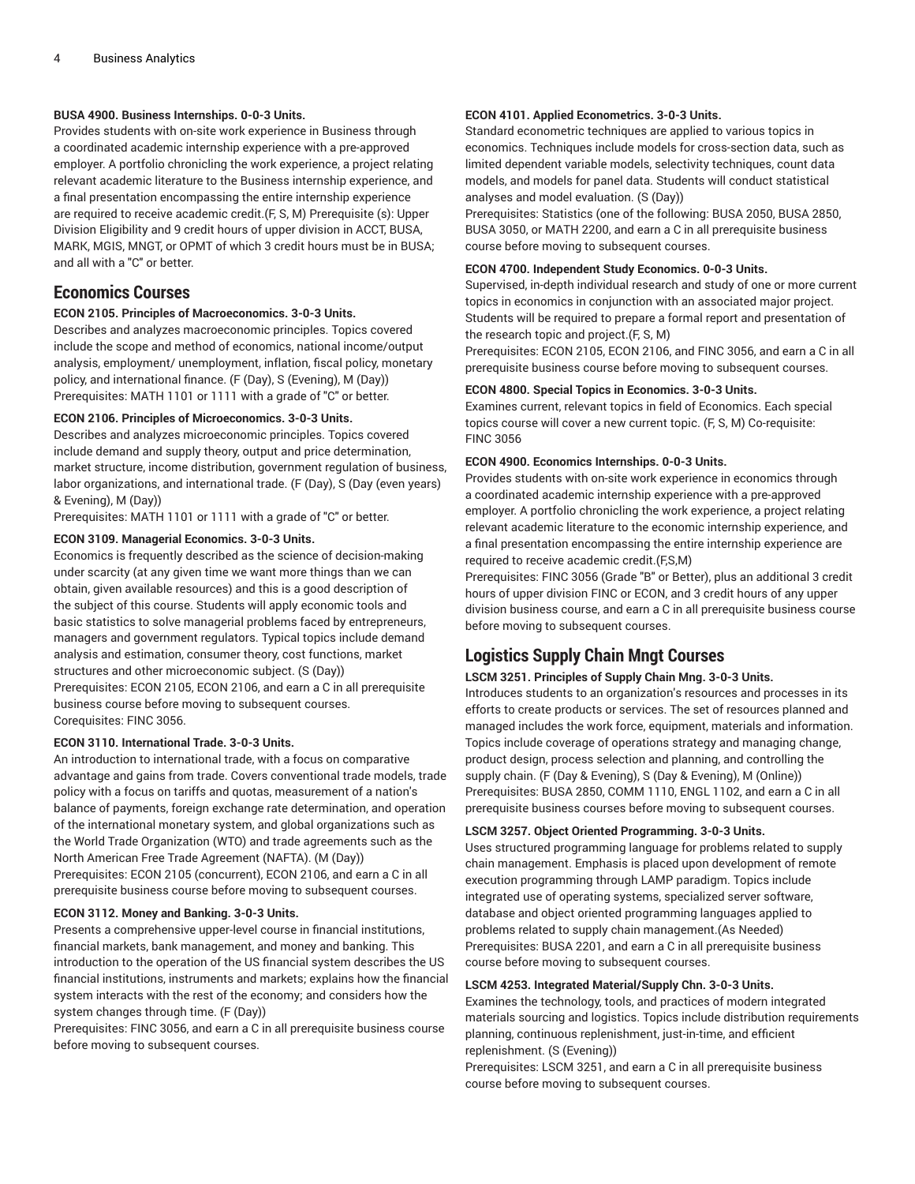#### **BUSA 4900. Business Internships. 0-0-3 Units.**

Provides students with on-site work experience in Business through a coordinated academic internship experience with a pre-approved employer. A portfolio chronicling the work experience, a project relating relevant academic literature to the Business internship experience, and a final presentation encompassing the entire internship experience are required to receive academic credit.(F, S, M) Prerequisite (s): Upper Division Eligibility and 9 credit hours of upper division in ACCT, BUSA, MARK, MGIS, MNGT, or OPMT of which 3 credit hours must be in BUSA; and all with a "C" or better.

### **Economics Courses**

#### **ECON 2105. Principles of Macroeconomics. 3-0-3 Units.**

Describes and analyzes macroeconomic principles. Topics covered include the scope and method of economics, national income/output analysis, employment/ unemployment, inflation, fiscal policy, monetary policy, and international finance. (F (Day), S (Evening), M (Day)) Prerequisites: [MATH](/search/?P=MATH%201101) 1101 or 1111 with a grade of "C" or better.

#### **ECON 2106. Principles of Microeconomics. 3-0-3 Units.**

Describes and analyzes microeconomic principles. Topics covered include demand and supply theory, output and price determination, market structure, income distribution, government regulation of business, labor organizations, and international trade. (F (Day), S (Day (even years) & Evening), M (Day))

Prerequisites: [MATH](/search/?P=MATH%201101) 1101 or 1111 with a grade of "C" or better.

#### **ECON 3109. Managerial Economics. 3-0-3 Units.**

Economics is frequently described as the science of decision-making under scarcity (at any given time we want more things than we can obtain, given available resources) and this is a good description of the subject of this course. Students will apply economic tools and basic statistics to solve managerial problems faced by entrepreneurs, managers and government regulators. Typical topics include demand analysis and estimation, consumer theory, cost functions, market structures and other microeconomic subject. (S (Day)) Prerequisites: [ECON 2105](/search/?P=ECON%202105), [ECON 2106,](/search/?P=ECON%202106) and earn a C in all prerequisite business course before moving to subsequent courses. Corequisites: [FINC 3056.](/search/?P=FINC%203056)

#### **ECON 3110. International Trade. 3-0-3 Units.**

An introduction to international trade, with a focus on comparative advantage and gains from trade. Covers conventional trade models, trade policy with a focus on tariffs and quotas, measurement of a nation's balance of payments, foreign exchange rate determination, and operation of the international monetary system, and global organizations such as the World Trade Organization (WTO) and trade agreements such as the North American Free Trade Agreement (NAFTA). (M (Day)) Prerequisites: [ECON 2105](/search/?P=ECON%202105) (concurrent), [ECON 2106,](/search/?P=ECON%202106) and earn a C in all prerequisite business course before moving to subsequent courses.

#### **ECON 3112. Money and Banking. 3-0-3 Units.**

Presents a comprehensive upper-level course in financial institutions, financial markets, bank management, and money and banking. This introduction to the operation of the US financial system describes the US financial institutions, instruments and markets; explains how the financial system interacts with the rest of the economy; and considers how the system changes through time. (F (Day))

Prerequisites: [FINC 3056,](/search/?P=FINC%203056) and earn a C in all prerequisite business course before moving to subsequent courses.

#### **ECON 4101. Applied Econometrics. 3-0-3 Units.**

Standard econometric techniques are applied to various topics in economics. Techniques include models for cross-section data, such as limited dependent variable models, selectivity techniques, count data models, and models for panel data. Students will conduct statistical analyses and model evaluation. (S (Day))

Prerequisites: Statistics (one of the following: BUSA 2050, [BUSA 2850,](/search/?P=BUSA%202850) [BUSA 3050](/search/?P=BUSA%203050), or MATH 2200, and earn a C in all prerequisite business course before moving to subsequent courses.

#### **ECON 4700. Independent Study Economics. 0-0-3 Units.**

Supervised, in-depth individual research and study of one or more current topics in economics in conjunction with an associated major project. Students will be required to prepare a formal report and presentation of the research topic and project.(F, S, M)

Prerequisites: [ECON 2105,](/search/?P=ECON%202105) [ECON 2106](/search/?P=ECON%202106), and [FINC 3056,](/search/?P=FINC%203056) and earn a C in all prerequisite business course before moving to subsequent courses.

#### **ECON 4800. Special Topics in Economics. 3-0-3 Units.**

Examines current, relevant topics in field of Economics. Each special topics course will cover a new current topic. (F, S, M) Co-requisite: [FINC 3056](/search/?P=FINC%203056)

#### **ECON 4900. Economics Internships. 0-0-3 Units.**

Provides students with on-site work experience in economics through a coordinated academic internship experience with a pre-approved employer. A portfolio chronicling the work experience, a project relating relevant academic literature to the economic internship experience, and a final presentation encompassing the entire internship experience are required to receive academic credit.(F,S,M)

Prerequisites: [FINC 3056](/search/?P=FINC%203056) (Grade "B" or Better), plus an additional 3 credit hours of upper division FINC or ECON, and 3 credit hours of any upper division business course, and earn a C in all prerequisite business course before moving to subsequent courses.

## **Logistics Supply Chain Mngt Courses**

#### **LSCM 3251. Principles of Supply Chain Mng. 3-0-3 Units.**

Introduces students to an organization's resources and processes in its efforts to create products or services. The set of resources planned and managed includes the work force, equipment, materials and information. Topics include coverage of operations strategy and managing change, product design, process selection and planning, and controlling the supply chain. (F (Day & Evening), S (Day & Evening), M (Online)) Prerequisites: [BUSA 2850](/search/?P=BUSA%202850), [COMM 1110](/search/?P=COMM%201110), [ENGL 1102](/search/?P=ENGL%201102), and earn a C in all prerequisite business courses before moving to subsequent courses.

#### **LSCM 3257. Object Oriented Programming. 3-0-3 Units.**

Uses structured programming language for problems related to supply chain management. Emphasis is placed upon development of remote execution programming through LAMP paradigm. Topics include integrated use of operating systems, specialized server software, database and object oriented programming languages applied to problems related to supply chain management.(As Needed) Prerequisites: [BUSA 2201](/search/?P=BUSA%202201), and earn a C in all prerequisite business course before moving to subsequent courses.

#### **LSCM 4253. Integrated Material/Supply Chn. 3-0-3 Units.**

Examines the technology, tools, and practices of modern integrated materials sourcing and logistics. Topics include distribution requirements planning, continuous replenishment, just-in-time, and efficient replenishment. (S (Evening))

Prerequisites: [LSCM 3251](/search/?P=LSCM%203251), and earn a C in all prerequisite business course before moving to subsequent courses.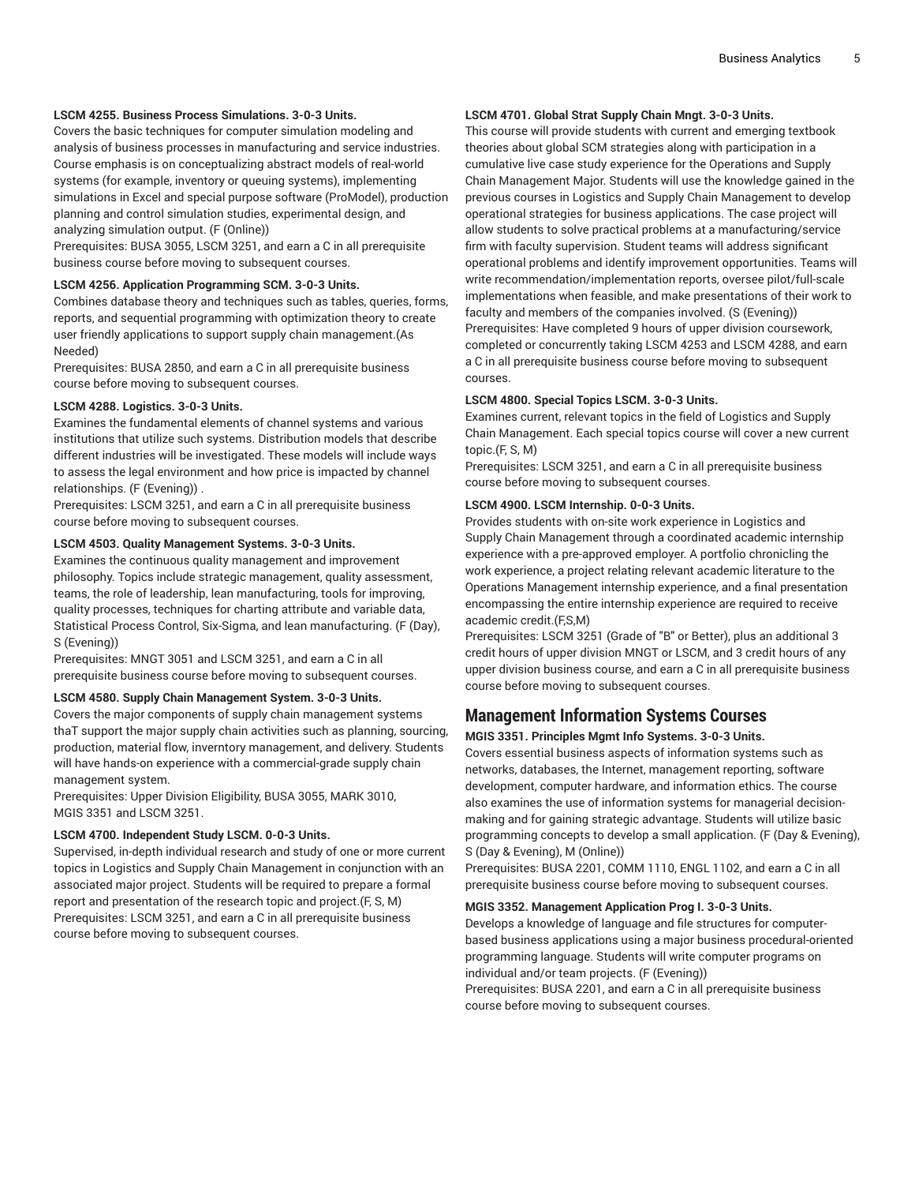#### **LSCM 4255. Business Process Simulations. 3-0-3 Units.**

Covers the basic techniques for computer simulation modeling and analysis of business processes in manufacturing and service industries. Course emphasis is on conceptualizing abstract models of real-world systems (for example, inventory or queuing systems), implementing simulations in Excel and special purpose software (ProModel), production planning and control simulation studies, experimental design, and analyzing simulation output. (F (Online))

Prerequisites: [BUSA 3055,](/search/?P=BUSA%203055) [LSCM 3251,](/search/?P=LSCM%203251) and earn a C in all prerequisite business course before moving to subsequent courses.

#### **LSCM 4256. Application Programming SCM. 3-0-3 Units.**

Combines database theory and techniques such as tables, queries, forms, reports, and sequential programming with optimization theory to create user friendly applications to support supply chain management.(As Needed)

Prerequisites: [BUSA 2850,](/search/?P=BUSA%202850) and earn a C in all prerequisite business course before moving to subsequent courses.

#### **LSCM 4288. Logistics. 3-0-3 Units.**

Examines the fundamental elements of channel systems and various institutions that utilize such systems. Distribution models that describe different industries will be investigated. These models will include ways to assess the legal environment and how price is impacted by channel relationships. (F (Evening)) .

Prerequisites: [LSCM 3251,](/search/?P=LSCM%203251) and earn a C in all prerequisite business course before moving to subsequent courses.

#### **LSCM 4503. Quality Management Systems. 3-0-3 Units.**

Examines the continuous quality management and improvement philosophy. Topics include strategic management, quality assessment, teams, the role of leadership, lean manufacturing, tools for improving, quality processes, techniques for charting attribute and variable data, Statistical Process Control, Six-Sigma, and lean manufacturing. (F (Day), S (Evening))

Prerequisites: [MNGT 3051](/search/?P=MNGT%203051) and [LSCM 3251,](/search/?P=LSCM%203251) and earn a C in all prerequisite business course before moving to subsequent courses.

#### **LSCM 4580. Supply Chain Management System. 3-0-3 Units.**

Covers the major components of supply chain management systems thaT support the major supply chain activities such as planning, sourcing, production, material flow, inverntory management, and delivery. Students will have hands-on experience with a commercial-grade supply chain management system.

Prerequisites: Upper Division Eligibility, [BUSA 3055](/search/?P=BUSA%203055), [MARK](/search/?P=MARK%203010) 3010, [MGIS 3351](/search/?P=MGIS%203351) and [LSCM 3251](/search/?P=LSCM%203251).

#### **LSCM 4700. Independent Study LSCM. 0-0-3 Units.**

Supervised, in-depth individual research and study of one or more current topics in Logistics and Supply Chain Management in conjunction with an associated major project. Students will be required to prepare a formal report and presentation of the research topic and project.(F, S, M) Prerequisites: [LSCM 3251,](/search/?P=LSCM%203251) and earn a C in all prerequisite business course before moving to subsequent courses.

#### **LSCM 4701. Global Strat Supply Chain Mngt. 3-0-3 Units.**

This course will provide students with current and emerging textbook theories about global SCM strategies along with participation in a cumulative live case study experience for the Operations and Supply Chain Management Major. Students will use the knowledge gained in the previous courses in Logistics and Supply Chain Management to develop operational strategies for business applications. The case project will allow students to solve practical problems at a manufacturing/service firm with faculty supervision. Student teams will address significant operational problems and identify improvement opportunities. Teams will write recommendation/implementation reports, oversee pilot/full-scale implementations when feasible, and make presentations of their work to faculty and members of the companies involved. (S (Evening)) Prerequisites: Have completed 9 hours of upper division coursework, completed or concurrently taking [LSCM 4253](/search/?P=LSCM%204253) and [LSCM 4288](/search/?P=LSCM%204288), and earn a C in all prerequisite business course before moving to subsequent courses.

#### **LSCM 4800. Special Topics LSCM. 3-0-3 Units.**

Examines current, relevant topics in the field of Logistics and Supply Chain Management. Each special topics course will cover a new current topic.(F, S, M)

Prerequisites: [LSCM 3251](/search/?P=LSCM%203251), and earn a C in all prerequisite business course before moving to subsequent courses.

#### **LSCM 4900. LSCM Internship. 0-0-3 Units.**

Provides students with on-site work experience in Logistics and Supply Chain Management through a coordinated academic internship experience with a pre-approved employer. A portfolio chronicling the work experience, a project relating relevant academic literature to the Operations Management internship experience, and a final presentation encompassing the entire internship experience are required to receive academic credit.(F.S.M)

Prerequisites: [LSCM 3251](/search/?P=LSCM%203251) (Grade of "B" or Better), plus an additional 3 credit hours of upper division MNGT or LSCM, and 3 credit hours of any upper division business course, and earn a C in all prerequisite business course before moving to subsequent courses.

### **Management Information Systems Courses**

#### **MGIS 3351. Principles Mgmt Info Systems. 3-0-3 Units.**

Covers essential business aspects of information systems such as networks, databases, the Internet, management reporting, software development, computer hardware, and information ethics. The course also examines the use of information systems for managerial decisionmaking and for gaining strategic advantage. Students will utilize basic programming concepts to develop a small application. (F (Day & Evening), S (Day & Evening), M (Online))

Prerequisites: [BUSA 2201](/search/?P=BUSA%202201), [COMM 1110](/search/?P=COMM%201110), [ENGL 1102](/search/?P=ENGL%201102), and earn a C in all prerequisite business course before moving to subsequent courses.

#### **MGIS 3352. Management Application Prog I. 3-0-3 Units.**

Develops a knowledge of language and file structures for computerbased business applications using a major business procedural-oriented programming language. Students will write computer programs on individual and/or team projects. (F (Evening))

Prerequisites: [BUSA 2201](/search/?P=BUSA%202201), and earn a C in all prerequisite business course before moving to subsequent courses.